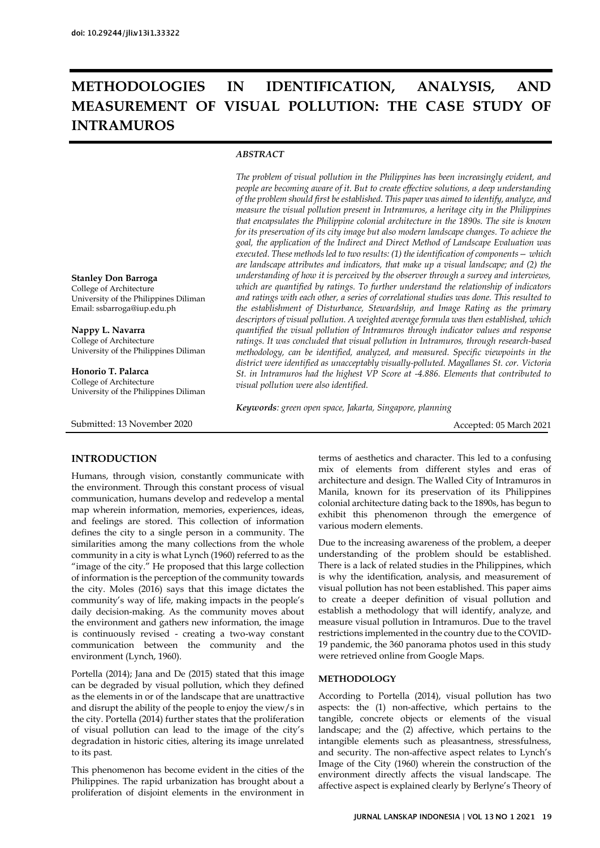# **METHODOLOGIES IN IDENTIFICATION, ANALYSIS, AND MEASUREMENT OF VISUAL POLLUTION: THE CASE STUDY OF INTRAMUROS**

# *ABSTRACT*

*The problem of visual pollution in the Philippines has been increasingly evident, and people are becoming aware of it. But to create effective solutions, a deep understanding of the problem should first be established. This paper was aimed to identify, analyze, and measure the visual pollution present in Intramuros, a heritage city in the Philippines that encapsulates the Philippine colonial architecture in the 1890s. The site is known for its preservation of its city image but also modern landscape changes. To achieve the goal, the application of the Indirect and Direct Method of Landscape Evaluation was executed. These methods led to two results: (1) the identification of components— which are landscape attributes and indicators, that make up a visual landscape; and (2) the understanding of how it is perceived by the observer through a survey and interviews, which are quantified by ratings. To further understand the relationship of indicators and ratings with each other, a series of correlational studies was done. This resulted to the establishment of Disturbance, Stewardship, and Image Rating as the primary descriptors of visual pollution. A weighted average formula was then established, which quantified the visual pollution of Intramuros through indicator values and response ratings. It was concluded that visual pollution in Intramuros, through research-based methodology, can be identified, analyzed, and measured. Specific viewpoints in the district were identified as unacceptably visually-polluted. Magallanes St. cor. Victoria St. in Intramuros had the highest VP Score at -4.886. Elements that contributed to visual pollution were also identified.*

*Keywords: green open space, Jakarta, Singapore, planning*

Accepted: 05 March 2021

#### **Stanley Don Barroga**

College of Architecture University of the Philippines Diliman Email: ssbarroga@iup.edu.ph

**Nappy L. Navarra**

College of Architecture University of the Philippines Diliman

**Honorio T. Palarca** College of Architecture University of the Philippines Diliman

Submitted: 13 November 2020

# **INTRODUCTION**

Humans, through vision, constantly communicate with the environment. Through this constant process of visual communication, humans develop and redevelop a mental map wherein information, memories, experiences, ideas, and feelings are stored. This collection of information defines the city to a single person in a community. The similarities among the many collections from the whole community in a city is what Lynch (1960) referred to as the "image of the city." He proposed that this large collection of information is the perception of the community towards the city. Moles (2016) says that this image dictates the community's way of life, making impacts in the people's daily decision-making. As the community moves about the environment and gathers new information, the image is continuously revised - creating a two-way constant communication between the community and the environment (Lynch, 1960).

Portella (2014); Jana and De (2015) stated that this image can be degraded by visual pollution, which they defined as the elements in or of the landscape that are unattractive and disrupt the ability of the people to enjoy the view/s in the city. Portella (2014) further states that the proliferation of visual pollution can lead to the image of the city's degradation in historic cities, altering its image unrelated to its past.

This phenomenon has become evident in the cities of the Philippines. The rapid urbanization has brought about a proliferation of disjoint elements in the environment in terms of aesthetics and character. This led to a confusing mix of elements from different styles and eras of architecture and design. The Walled City of Intramuros in Manila, known for its preservation of its Philippines colonial architecture dating back to the 1890s, has begun to exhibit this phenomenon through the emergence of various modern elements.

Due to the increasing awareness of the problem, a deeper understanding of the problem should be established. There is a lack of related studies in the Philippines, which is why the identification, analysis, and measurement of visual pollution has not been established. This paper aims to create a deeper definition of visual pollution and establish a methodology that will identify, analyze, and measure visual pollution in Intramuros. Due to the travel restrictions implemented in the country due to the COVID-19 pandemic, the 360 panorama photos used in this study were retrieved online from Google Maps.

## **METHODOLOGY**

According to Portella (2014), visual pollution has two aspects: the (1) non-affective, which pertains to the tangible, concrete objects or elements of the visual landscape; and the (2) affective, which pertains to the intangible elements such as pleasantness, stressfulness, and security. The non-affective aspect relates to Lynch's Image of the City (1960) wherein the construction of the environment directly affects the visual landscape. The affective aspect is explained clearly by Berlyne's Theory of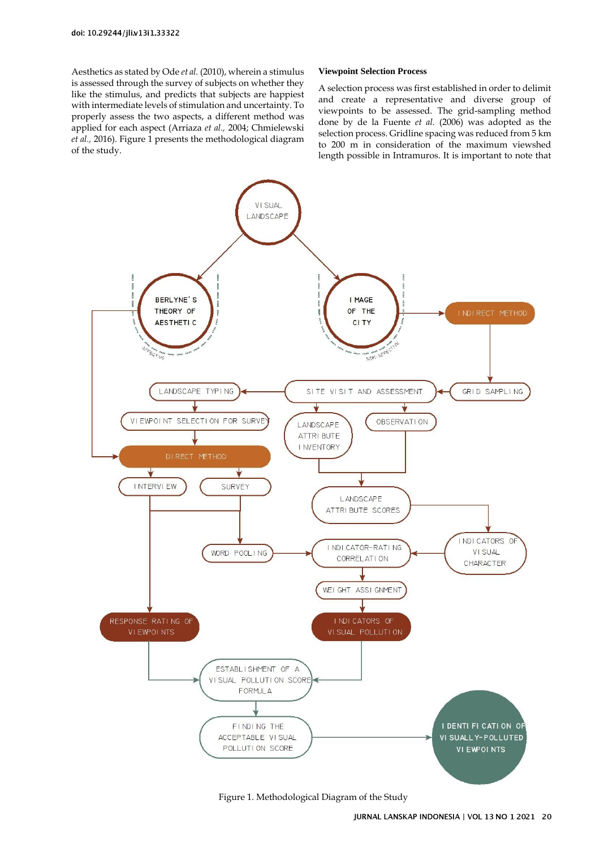Aesthetics as stated by Ode *et al.* (2010), wherein a stimulus is assessed through the survey of subjects on whether they like the stimulus, and predicts that subjects are happiest with intermediate levels of stimulation and uncertainty. To properly assess the two aspects, a different method was applied for each aspect (Arriaza *et al.,* 2004; Chmielewski *et al.,* 2016)[. Figure 1](#page-1-0) presents the methodological diagram of the study.

#### **Viewpoint Selection Process**

A selection process was first established in order to delimit and create a representative and diverse group of viewpoints to be assessed. The grid-sampling method done by de la Fuente *et al.* (2006) was adopted as the selection process. Gridline spacing was reduced from 5 km to 200 m in consideration of the maximum viewshed length possible in Intramuros. It is important to note that



<span id="page-1-0"></span>Figure 1. Methodological Diagram of the Study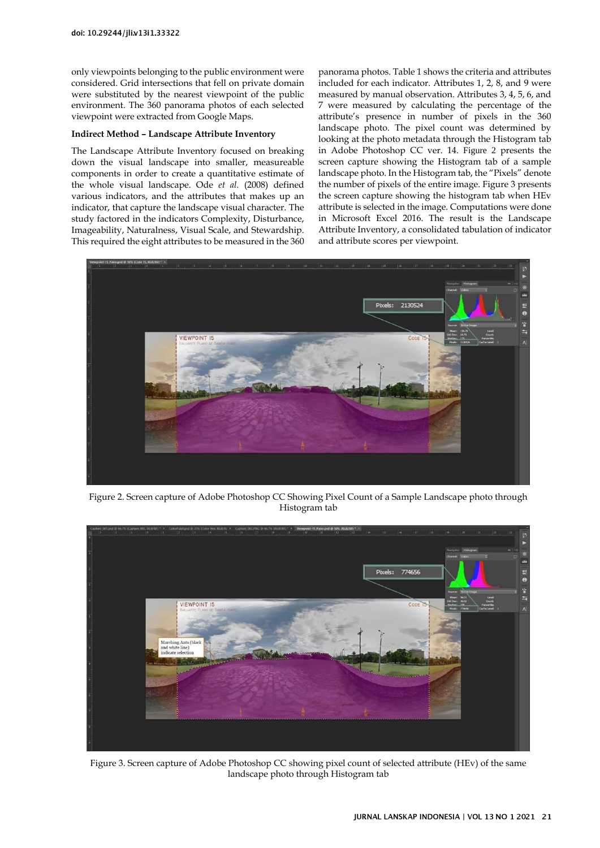only viewpoints belonging to the public environment were considered. Grid intersections that fell on private domain were substituted by the nearest viewpoint of the public environment. The 360 panorama photos of each selected viewpoint were extracted from Google Maps.

### **Indirect Method – Landscape Attribute Inventory**

The Landscape Attribute Inventory focused on breaking down the visual landscape into smaller, measureable components in order to create a quantitative estimate of the whole visual landscape. Ode *et al.* (2008) defined various indicators, and the attributes that makes up an indicator, that capture the landscape visual character. The study factored in the indicators Complexity, Disturbance, Imageability, Naturalness, Visual Scale, and Stewardship. This required the eight attributes to be measured in the 360 panorama photos. Table 1 shows the criteria and attributes included for each indicator. Attributes 1, 2, 8, and 9 were measured by manual observation. Attributes 3, 4, 5, 6, and 7 were measured by calculating the percentage of the attribute's presence in number of pixels in the 360 landscape photo. The pixel count was determined by looking at the photo metadata through the Histogram tab in Adobe Photoshop CC ver. 14. [Figure 2](#page-2-0) presents the screen capture showing the Histogram tab of a sample landscape photo. In the Histogram tab, the "Pixels" denote the number of pixels of the entire image. Figure 3 presents the screen capture showing the histogram tab when HEv attribute is selected in the image. Computations were done in Microsoft Excel 2016. The result is the Landscape Attribute Inventory, a consolidated tabulation of indicator and attribute scores per viewpoint.



Figure 2. Screen capture of Adobe Photoshop CC Showing Pixel Count of a Sample Landscape photo through Histogram tab

<span id="page-2-0"></span>

Figure 3. Screen capture of Adobe Photoshop CC showing pixel count of selected attribute (HEv) of the same landscape photo through Histogram tab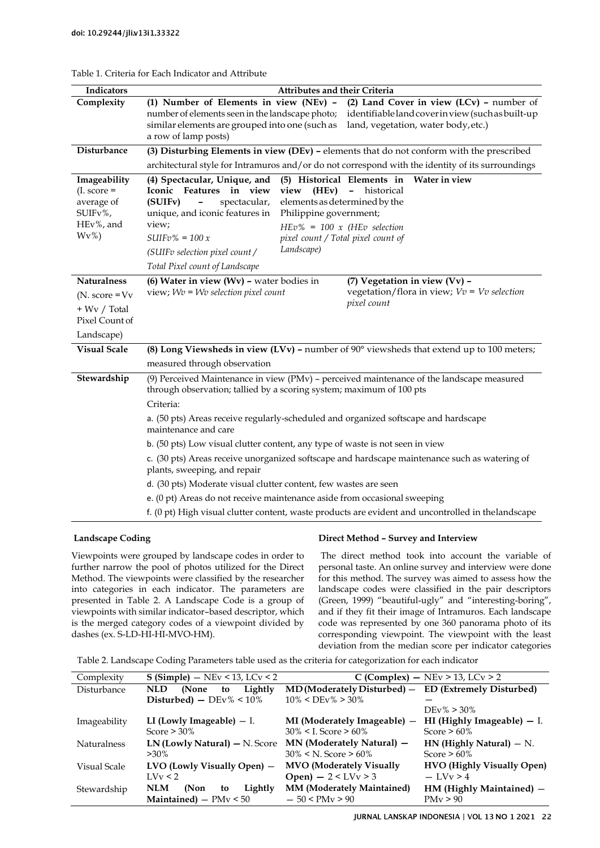| Indicators                                                                                | <b>Attributes and their Criteria</b>                                                                                                                                                                                                                                                                                                                                                                                                                                                                                    |  |  |  |  |  |  |  |
|-------------------------------------------------------------------------------------------|-------------------------------------------------------------------------------------------------------------------------------------------------------------------------------------------------------------------------------------------------------------------------------------------------------------------------------------------------------------------------------------------------------------------------------------------------------------------------------------------------------------------------|--|--|--|--|--|--|--|
| Complexity                                                                                | (2) Land Cover in view $(LCv)$ - number of<br>(1) Number of Elements in view (NEv) -<br>number of elements seen in the landscape photo;<br>identifiable land cover in view (such as built-up<br>similar elements are grouped into one (such as<br>land, vegetation, water body, etc.)<br>a row of lamp posts)                                                                                                                                                                                                           |  |  |  |  |  |  |  |
| Disturbance                                                                               | (3) Disturbing Elements in view (DEv) - elements that do not conform with the prescribed                                                                                                                                                                                                                                                                                                                                                                                                                                |  |  |  |  |  |  |  |
|                                                                                           | architectural style for Intramuros and/or do not correspond with the identity of its surroundings                                                                                                                                                                                                                                                                                                                                                                                                                       |  |  |  |  |  |  |  |
| Imageability<br>$(I. score =$<br>average of<br>SUIFv%,<br>HEv%, and<br>$Wv\%$             | (5) Historical Elements in<br>Water in view<br>(4) Spectacular, Unique, and<br>Features in view<br>Iconic<br>view<br>(HEv)<br>historical<br>$\overline{\phantom{m}}$<br>elements as determined by the<br>(SUIFv)<br>spectacular,<br>$\overline{\phantom{0}}$<br>unique, and iconic features in<br>Philippine government;<br>view;<br>$HEv\% = 100 \times (HEv \, selection$<br>$SUIFv\% = 100x$<br>pixel count / Total pixel count of<br>Landscape)<br>(SUIFv selection pixel count /<br>Total Pixel count of Landscape |  |  |  |  |  |  |  |
| <b>Naturalness</b><br>$(N. score = Vv)$<br>$+$ Wv / Total<br>Pixel Count of<br>Landscape) | (6) Water in view (Wv) - water bodies in<br>(7) Vegetation in view (Vv) -<br>view; $Wv = Wv$ selection pixel count<br>vegetation/flora in view; $Vv = Vv$ selection<br>pixel count                                                                                                                                                                                                                                                                                                                                      |  |  |  |  |  |  |  |
| <b>Visual Scale</b>                                                                       | (8) Long Viewsheds in view (LVv) - number of $90^\circ$ viewsheds that extend up to 100 meters;                                                                                                                                                                                                                                                                                                                                                                                                                         |  |  |  |  |  |  |  |
| Stewardship                                                                               | measured through observation<br>(9) Perceived Maintenance in view (PMv) - perceived maintenance of the landscape measured<br>through observation; tallied by a scoring system; maximum of 100 pts<br>Criteria:<br>a. (50 pts) Areas receive regularly-scheduled and organized softscape and hardscape<br>maintenance and care<br>b. (50 pts) Low visual clutter content, any type of waste is not seen in view<br>c. (30 pts) Areas receive unorganized softscape and hardscape maintenance such as watering of         |  |  |  |  |  |  |  |
|                                                                                           | plants, sweeping, and repair<br>d. (30 pts) Moderate visual clutter content, few wastes are seen                                                                                                                                                                                                                                                                                                                                                                                                                        |  |  |  |  |  |  |  |
|                                                                                           | e. (0 pt) Areas do not receive maintenance aside from occasional sweeping                                                                                                                                                                                                                                                                                                                                                                                                                                               |  |  |  |  |  |  |  |
|                                                                                           | f. (0 pt) High visual clutter content, waste products are evident and uncontrolled in the landscape                                                                                                                                                                                                                                                                                                                                                                                                                     |  |  |  |  |  |  |  |

# Table 1. Criteria for Each Indicator and Attribute

## **Landscape Coding**

Viewpoints were grouped by landscape codes in order to further narrow the pool of photos utilized for the Direct Method. The viewpoints were classified by the researcher into categories in each indicator. The parameters are presented in Table 2. A Landscape Code is a group of viewpoints with similar indicator–based descriptor, which is the merged category codes of a viewpoint divided by dashes (ex. S-LD-HI-HI-MVO-HM).

#### **Direct Method – Survey and Interview**

The direct method took into account the variable of personal taste. An online survey and interview were done for this method. The survey was aimed to assess how the landscape codes were classified in the pair descriptors (Green, 1999) "beautiful-ugly" and "interesting-boring", and if they fit their image of Intramuros. Each landscape code was represented by one 360 panorama photo of its corresponding viewpoint. The viewpoint with the least deviation from the median score per indicator categories

Table 2. Landscape Coding Parameters table used as the criteria for categorization for each indicator

| Complexity         | $S(Simple) - NEW < 13, LCV < 2$      | C (Complex) $-$ NEv $>$ 13, LCv $>$ 2     |                                   |  |  |
|--------------------|--------------------------------------|-------------------------------------------|-----------------------------------|--|--|
| Disturbance        | Lightly<br><b>NLD</b><br>(None<br>to | $MD$ (Moderately Disturbed) -             | <b>ED</b> (Extremely Disturbed)   |  |  |
|                    | Disturbed) $-$ DEv% < 10%            | $10\% <$ DEv% > 30%                       |                                   |  |  |
|                    |                                      |                                           | $DEv\% > 30\%$                    |  |  |
| Imageability       | LI (Lowly Imageable) $-$ I.          | MI (Moderately Imageable) –               | HI (Highly Imageable) $-$ I.      |  |  |
|                    | Score $> 30\%$                       | $30\% < I$ . Score > 60%                  | Score $>60\%$                     |  |  |
| <b>Naturalness</b> | $LN$ (Lowly Natural) $- N$ . Score   | $MN$ (Moderately Natural) $-$             | $HN$ (Highly Natural) $- N$ .     |  |  |
|                    | $>30\%$                              | $30\% < N$ . Score > 60%                  | Score $>60\%$                     |  |  |
| Visual Scale       | $LVO$ (Lowly Visually Open) $-$      | <b>MVO</b> (Moderately Visually           | <b>HVO</b> (Highly Visually Open) |  |  |
|                    | I.Vv < 2                             | <b>Open</b> ) $- 2 <$ LV <sub>v</sub> > 3 | $-$ I.Vy $>$ 4                    |  |  |
| Stewardship        | <b>NLM</b><br>(Non<br>Lightly<br>to  | <b>MM (Moderately Maintained)</b>         | HM (Highly Maintained) -          |  |  |
|                    | Maintained) $-$ PM $v < 50$          | $-50 < PMv > 90$                          | PMv > 90                          |  |  |
|                    |                                      |                                           |                                   |  |  |

JURNAL LANSKAP INDONESIA | VOL 13 NO 1 2021 22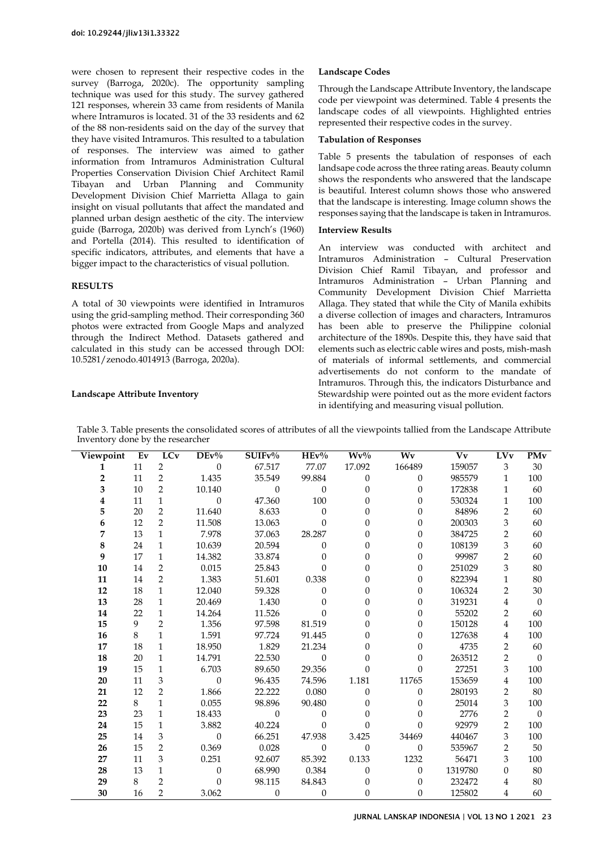were chosen to represent their respective codes in the survey (Barroga, 2020c). The opportunity sampling technique was used for this study. The survey gathered 121 responses, wherein 33 came from residents of Manila where Intramuros is located. 31 of the 33 residents and 62 of the 88 non-residents said on the day of the survey that they have visited Intramuros. This resulted to a tabulation of responses. The interview was aimed to gather information from Intramuros Administration Cultural Properties Conservation Division Chief Architect Ramil Tibayan and Urban Planning and Community Development Division Chief Marrietta Allaga to gain insight on visual pollutants that affect the mandated and planned urban design aesthetic of the city. The interview guide (Barroga, 2020b) was derived from Lynch's (1960) and Portella (2014). This resulted to identification of specific indicators, attributes, and elements that have a bigger impact to the characteristics of visual pollution.

### **RESULTS**

A total of 30 viewpoints were identified in Intramuros using the grid-sampling method. Their corresponding 360 photos were extracted from Google Maps and analyzed through the Indirect Method. Datasets gathered and calculated in this study can be accessed through DOI: 10.5281/zenodo.4014913 (Barroga, 2020a).

#### **Landscape Attribute Inventory**

## **Landscape Codes**

Through the Landscape Attribute Inventory, the landscape code per viewpoint was determined. Table 4 presents the landscape codes of all viewpoints. Highlighted entries represented their respective codes in the survey.

#### **Tabulation of Responses**

[Table 5](#page-5-0) presents the tabulation of responses of each landsape code across the three rating areas. Beauty column shows the respondents who answered that the landscape is beautiful. Interest column shows those who answered that the landscape is interesting. Image column shows the responses saying that the landscape is taken in Intramuros.

#### **Interview Results**

An interview was conducted with architect and Intramuros Administration – Cultural Preservation Division Chief Ramil Tibayan, and professor and Intramuros Administration – Urban Planning and Community Development Division Chief Marrietta Allaga. They stated that while the City of Manila exhibits a diverse collection of images and characters, Intramuros has been able to preserve the Philippine colonial architecture of the 1890s. Despite this, they have said that elements such as electric cable wires and posts, mish-mash of materials of informal settlements, and commercial advertisements do not conform to the mandate of Intramuros. Through this, the indicators Disturbance and Stewardship were pointed out as the more evident factors in identifying and measuring visual pollution.

Table 3. Table presents the consolidated scores of attributes of all the viewpoints tallied from the Landscape Attribute Inventory done by the researcher

| Viewpoint | Ev | <b>LCv</b>     | $DEv\%$          | $SUIFv\%$        | $HEv\%$          | $Wv\%$           | $\overline{\mathbf{W}\mathbf{v}}$ | Vv      | LVv            | PMv      |
|-----------|----|----------------|------------------|------------------|------------------|------------------|-----------------------------------|---------|----------------|----------|
| 1         | 11 | $\overline{2}$ | $\Omega$         | 67.517           | 77.07            | 17.092           | 166489                            | 159057  | 3              | 30       |
| 2         | 11 | $\overline{2}$ | 1.435            | 35.549           | 99.884           | 0                | $\theta$                          | 985579  | 1              | 100      |
| 3         | 10 | $\overline{2}$ | 10.140           | $\theta$         | $\boldsymbol{0}$ | 0                | $\mathbf{0}$                      | 172838  | $\mathbf{1}$   | 60       |
| 4         | 11 | $\mathbf{1}$   | $\Omega$         | 47.360           | 100              | 0                | $\Omega$                          | 530324  | 1              | 100      |
| 5         | 20 | $\overline{2}$ | 11.640           | 8.633            | $\Omega$         | 0                | $\Omega$                          | 84896   | $\overline{2}$ | 60       |
| 6         | 12 | $\overline{2}$ | 11.508           | 13.063           | $\Omega$         | 0                | 0                                 | 200303  | 3              | 60       |
| 7         | 13 | $\mathbf 1$    | 7.978            | 37.063           | 28.287           | 0                | 0                                 | 384725  | $\overline{2}$ | 60       |
| 8         | 24 | $\mathbf{1}$   | 10.639           | 20.594           | $\theta$         | $\boldsymbol{0}$ | $\theta$                          | 108139  | 3              | 60       |
| 9         | 17 | $\mathbf{1}$   | 14.382           | 33.874           | $\Omega$         | 0                | 0                                 | 99987   | $\overline{2}$ | 60       |
| 10        | 14 | $\overline{2}$ | 0.015            | 25.843           | $\theta$         | 0                | 0                                 | 251029  | 3              | 80       |
| 11        | 14 | $\overline{2}$ | 1.383            | 51.601           | 0.338            | 0                | 0                                 | 822394  | 1              | 80       |
| 12        | 18 | $\mathbf{1}$   | 12.040           | 59.328           | $\theta$         | 0                | 0                                 | 106324  | $\overline{2}$ | 30       |
| 13        | 28 | $\mathbf{1}$   | 20.469           | 1.430            | $\Omega$         | 0                | 0                                 | 319231  | 4              | $\Omega$ |
| 14        | 22 | 1              | 14.264           | 11.526           | $\theta$         | $\overline{0}$   | 0                                 | 55202   | 2              | 60       |
| 15        | 9  | $\overline{2}$ | 1.356            | 97.598           | 81.519           | 0                | 0                                 | 150128  | 4              | 100      |
| 16        | 8  | $\mathbf{1}$   | 1.591            | 97.724           | 91.445           | $\boldsymbol{0}$ | 0                                 | 127638  | 4              | 100      |
| 17        | 18 | $\mathbf{1}$   | 18.950           | 1.829            | 21.234           | 0                | 0                                 | 4735    | 2              | 60       |
| 18        | 20 | 1              | 14.791           | 22.530           | $\overline{0}$   | $\boldsymbol{0}$ | 0                                 | 263512  | 2              | $\Omega$ |
| 19        | 15 | 1              | 6.703            | 89.650           | 29.356           | $\Omega$         | $\theta$                          | 27251   | 3              | 100      |
| 20        | 11 | 3              | $\boldsymbol{0}$ | 96.435           | 74.596           | 1.181            | 11765                             | 153659  | 4              | 100      |
| 21        | 12 | $\overline{2}$ | 1.866            | 22.222           | 0.080            | $\overline{0}$   | $\theta$                          | 280193  | 2              | 80       |
| 22        | 8  | $\mathbf{1}$   | 0.055            | 98.896           | 90.480           | 0                | 0                                 | 25014   | 3              | 100      |
| 23        | 23 | 1              | 18.433           | $\theta$         | $\theta$         | $\boldsymbol{0}$ | 0                                 | 2776    | $\overline{2}$ | $\theta$ |
| 24        | 15 | 1              | 3.882            | 40.224           | $\Omega$         | $\Omega$         | $\theta$                          | 92979   | 2              | 100      |
| 25        | 14 | 3              | $\mathbf{0}$     | 66.251           | 47.938           | 3.425            | 34469                             | 440467  | 3              | 100      |
| 26        | 15 | $\overline{2}$ | 0.369            | 0.028            | $\mathbf{0}$     | $\boldsymbol{0}$ | $\theta$                          | 535967  | 2              | 50       |
| 27        | 11 | 3              | 0.251            | 92.607           | 85.392           | 0.133            | 1232                              | 56471   | 3              | 100      |
| 28        | 13 | $\mathbf{1}$   | $\mathbf{0}$     | 68.990           | 0.384            | 0                | $\Omega$                          | 1319780 | $\theta$       | 80       |
| 29        | 8  | $\overline{2}$ | $\Omega$         | 98.115           | 84.843           | 0                | $\theta$                          | 232472  | 4              | 80       |
| 30        | 16 | $\overline{2}$ | 3.062            | $\boldsymbol{0}$ | $\boldsymbol{0}$ | 0                | $\theta$                          | 125802  | 4              | 60       |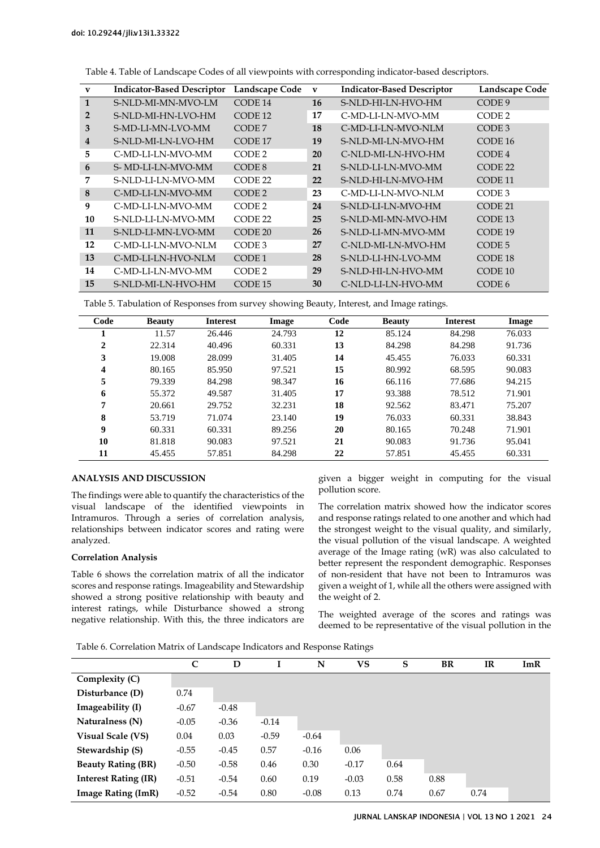| $\mathbf{v}$ | <b>Indicator-Based Descriptor</b> | Landscape Code     | $\mathbf{V}$ | <b>Indicator-Based Descriptor</b> | Landscape Code     |
|--------------|-----------------------------------|--------------------|--------------|-----------------------------------|--------------------|
| $\mathbf{1}$ | S-NLD-MI-MN-MVO-LM                | CODE 14            | 16           | S-NLD-HI-LN-HVO-HM                | CODE <sub>9</sub>  |
| 2            | S-NLD-MI-HN-LVO-HM                | CODE 12            | 17           | C-MD-LI-LN-MVO-MM                 | CODE <sub>2</sub>  |
| 3            | S-MD-LI-MN-LVO-MM                 | CODE 7             | 18           | C-MD-LI-LN-MVO-NLM                | CODE <sub>3</sub>  |
| 4            | S-NLD-MI-LN-LVO-HM                | CODE 17            | 19           | S-NLD-MI-LN-MVO-HM                | CODE 16            |
| 5            | C-MD-LI-LN-MVO-MM                 | CODE 2             | 20           | C-NLD-MI-LN-HVO-HM                | CODE <sub>4</sub>  |
| 6            | S-MD-LI-LN-MVO-MM                 | CODE <sub>8</sub>  | 21           | S-NLD-LL-LN-MVO-MM                | CODE 22            |
| 7            | S-NLD-LL-LN-MVO-MM                | CODE 22            | 22           | S-NLD-HI-LN-MVO-HM                | CODE <sub>11</sub> |
| 8            | C-MD-LI-LN-MVO-MM                 | CODE <sub>2</sub>  | 23           | C-MD-LI-LN-MVO-NLM                | CODE <sub>3</sub>  |
| 9            | C-MD-LL-LN-MVO-MM                 | CODE 2             | 24           | S-NLD-LI-LN-MVO-HM                | CODE 21            |
| 10           | S-NLD-LI-LN-MVO-MM                | CODE 22            | 25           | S-NLD-MI-MN-MVO-HM                | CODE 13            |
| 11           | S-NLD-LI-MN-LVO-MM                | CODE <sub>20</sub> | 26           | S-NLD-LI-MN-MVO-MM                | CODE 19            |
| 12           | C-MD-LI-LN-MVO-NLM                | CODE <sub>3</sub>  | 27           | C-NLD-MI-LN-MVO-HM                | CODE <sub>5</sub>  |
| 13           | C-MD-LI-LN-HVO-NLM                | CODE <sub>1</sub>  | 28           | S-NLD-LI-HN-LVO-MM                | CODE 18            |
| 14           | C-MD-LL-LN-MVO-MM                 | CODE <sub>2</sub>  | 29           | S-NLD-HI-LN-HVO-MM                | CODE 10            |
| 15           | S-NLD-MI-LN-HVO-HM                | CODE 15            | 30           | C-NLD-LI-LN-HVO-MM                | CODE 6             |

Table 4. Table of Landscape Codes of all viewpoints with corresponding indicator-based descriptors.

<span id="page-5-0"></span>Table 5. Tabulation of Responses from survey showing Beauty, Interest, and Image ratings.

| Code | <b>Beauty</b> | <b>Interest</b> | Image  | Code | <b>Beauty</b> | <b>Interest</b> | Image  |
|------|---------------|-----------------|--------|------|---------------|-----------------|--------|
|      | 11.57         | 26.446          | 24.793 | 12   | 85.124        | 84.298          | 76.033 |
| 2    | 22.314        | 40.496          | 60.331 | 13   | 84.298        | 84.298          | 91.736 |
| 3    | 19.008        | 28.099          | 31.405 | 14   | 45.455        | 76.033          | 60.331 |
| 4    | 80.165        | 85.950          | 97.521 | 15   | 80.992        | 68.595          | 90.083 |
| 5    | 79.339        | 84.298          | 98.347 | 16   | 66.116        | 77.686          | 94.215 |
| 6    | 55.372        | 49.587          | 31.405 | 17   | 93.388        | 78.512          | 71.901 |
| 7    | 20.661        | 29.752          | 32.231 | 18   | 92.562        | 83.471          | 75.207 |
| 8    | 53.719        | 71.074          | 23.140 | 19   | 76.033        | 60.331          | 38.843 |
| 9    | 60.331        | 60.331          | 89.256 | 20   | 80.165        | 70.248          | 71.901 |
| 10   | 81.818        | 90.083          | 97.521 | 21   | 90.083        | 91.736          | 95.041 |
| 11   | 45.455        | 57.851          | 84.298 | 22   | 57.851        | 45.455          | 60.331 |

## **ANALYSIS AND DISCUSSION**

The findings were able to quantify the characteristics of the visual landscape of the identified viewpoints in Intramuros. Through a series of correlation analysis, relationships between indicator scores and rating were analyzed.

## **Correlation Analysis**

[Table 6](#page-5-1) shows the correlation matrix of all the indicator scores and response ratings. Imageability and Stewardship showed a strong positive relationship with beauty and interest ratings, while Disturbance showed a strong negative relationship. With this, the three indicators are given a bigger weight in computing for the visual pollution score.

The correlation matrix showed how the indicator scores and response ratings related to one another and which had the strongest weight to the visual quality, and similarly, the visual pollution of the visual landscape. A weighted average of the Image rating (wR) was also calculated to better represent the respondent demographic. Responses of non-resident that have not been to Intramuros was given a weight of 1, while all the others were assigned with the weight of 2.

The weighted average of the scores and ratings was deemed to be representative of the visual pollution in the

<span id="page-5-1"></span>Table 6. Correlation Matrix of Landscape Indicators and Response Ratings

|                             | C       | D       |         | N       | VS      | S    | <b>BR</b> | IR   | ImR |
|-----------------------------|---------|---------|---------|---------|---------|------|-----------|------|-----|
| Complexity (C)              |         |         |         |         |         |      |           |      |     |
| Disturbance (D)             | 0.74    |         |         |         |         |      |           |      |     |
| Imageability (I)            | $-0.67$ | $-0.48$ |         |         |         |      |           |      |     |
| Naturalness (N)             | $-0.05$ | $-0.36$ | $-0.14$ |         |         |      |           |      |     |
| <b>Visual Scale (VS)</b>    | 0.04    | 0.03    | $-0.59$ | $-0.64$ |         |      |           |      |     |
| Stewardship (S)             | $-0.55$ | $-0.45$ | 0.57    | $-0.16$ | 0.06    |      |           |      |     |
| <b>Beauty Rating (BR)</b>   | $-0.50$ | $-0.58$ | 0.46    | 0.30    | $-0.17$ | 0.64 |           |      |     |
| <b>Interest Rating (IR)</b> | $-0.51$ | $-0.54$ | 0.60    | 0.19    | $-0.03$ | 0.58 | 0.88      |      |     |
| <b>Image Rating (ImR)</b>   | $-0.52$ | $-0.54$ | 0.80    | $-0.08$ | 0.13    | 0.74 | 0.67      | 0.74 |     |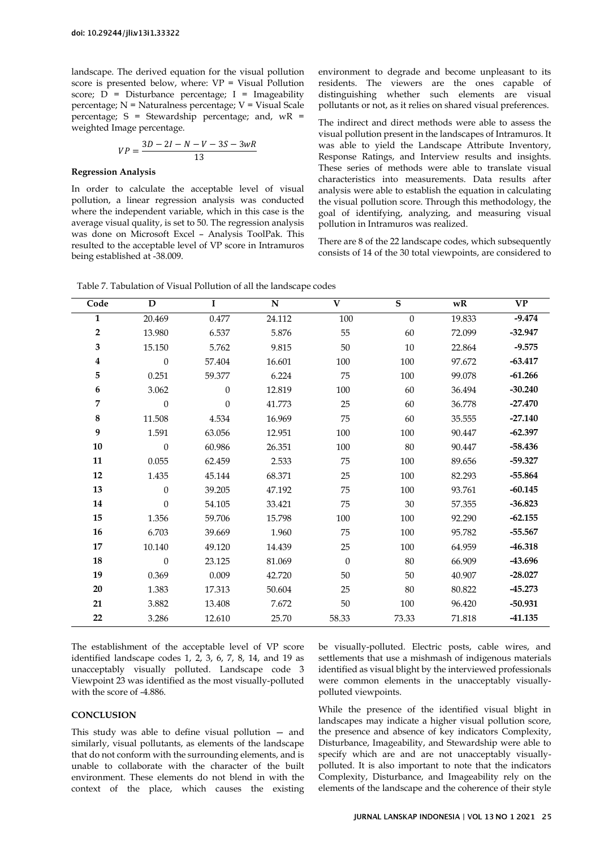landscape. The derived equation for the visual pollution score is presented below, where:  $VP = Visual$  Pollution score;  $\overline{D}$  = Disturbance percentage; I = Imageability percentage; N = Naturalness percentage; V = Visual Scale percentage;  $S =$  Stewardship percentage; and,  $wR =$ weighted Image percentage.

$$
VP = \frac{3D - 2I - N - V - 3S - 3wR}{13}
$$

### **Regression Analysis**

In order to calculate the acceptable level of visual pollution, a linear regression analysis was conducted where the independent variable, which in this case is the average visual quality, is set to 50. The regression analysis was done on Microsoft Excel – Analysis ToolPak. This resulted to the acceptable level of VP score in Intramuros being established at -38.009.

environment to degrade and become unpleasant to its residents. The viewers are the ones capable of distinguishing whether such elements are visual pollutants or not, as it relies on shared visual preferences.

The indirect and direct methods were able to assess the visual pollution present in the landscapes of Intramuros. It was able to yield the Landscape Attribute Inventory, Response Ratings, and Interview results and insights. These series of methods were able to translate visual characteristics into measurements. Data results after analysis were able to establish the equation in calculating the visual pollution score. Through this methodology, the goal of identifying, analyzing, and measuring visual pollution in Intramuros was realized.

There are 8 of the 22 landscape codes, which subsequently consists of 14 of the 30 total viewpoints, are considered to

| Code             | D              | $\mathbf I$    | ${\bf N}$ | $\mathbf{V}$     | $\overline{\mathbf{s}}$ | wR     | $\mathbf{V}\mathbf{P}$ |
|------------------|----------------|----------------|-----------|------------------|-------------------------|--------|------------------------|
| $\mathbf{1}$     | 20.469         | 0.477          | 24.112    | 100              | $\boldsymbol{0}$        | 19.833 | $-9.474$               |
| $\mathbf 2$      | 13.980         | 6.537          | 5.876     | 55               | 60                      | 72.099 | $-32.947$              |
| $\mathbf{3}$     | 15.150         | 5.762          | 9.815     | $50\,$           | $10\,$                  | 22.864 | $-9.575$               |
| $\boldsymbol{4}$ | $\overline{0}$ | 57.404         | 16.601    | 100              | 100                     | 97.672 | $-63.417$              |
| 5                | 0.251          | 59.377         | 6.224     | 75               | 100                     | 99.078 | $-61.266$              |
| 6                | 3.062          | $\overline{0}$ | 12.819    | 100              | 60                      | 36.494 | $-30.240$              |
| 7                | $\mathbf{0}$   | $\mathbf{0}$   | 41.773    | 25               | 60                      | 36.778 | $-27.470$              |
| $\bf 8$          | 11.508         | 4.534          | 16.969    | 75               | 60                      | 35.555 | $-27.140$              |
| 9                | 1.591          | 63.056         | 12.951    | 100              | 100                     | 90.447 | $-62.397$              |
| 10               | $\mathbf{0}$   | 60.986         | 26.351    | 100              | 80                      | 90.447 | $-58.436$              |
| 11               | 0.055          | 62.459         | 2.533     | 75               | 100                     | 89.656 | $-59.327$              |
| 12               | 1.435          | 45.144         | 68.371    | 25               | 100                     | 82.293 | $-55.864$              |
| 13               | $\theta$       | 39.205         | 47.192    | 75               | 100                     | 93.761 | $-60.145$              |
| 14               | $\mathbf{0}$   | 54.105         | 33.421    | 75               | 30                      | 57.355 | $-36.823$              |
| 15               | 1.356          | 59.706         | 15.798    | 100              | 100                     | 92.290 | $-62.155$              |
| 16               | 6.703          | 39.669         | 1.960     | 75               | 100                     | 95.782 | $-55.567$              |
| 17               | 10.140         | 49.120         | 14.439    | 25               | 100                     | 64.959 | $-46.318$              |
| 18               | $\mathbf{0}$   | 23.125         | 81.069    | $\boldsymbol{0}$ | $80\,$                  | 66.909 | $-43.696$              |
| 19               | 0.369          | 0.009          | 42.720    | 50               | 50                      | 40.907 | $-28.027$              |
| 20               | 1.383          | 17.313         | 50.604    | 25               | 80                      | 80.822 | $-45.273$              |
| 21               | 3.882          | 13.408         | 7.672     | $50\,$           | 100                     | 96.420 | $-50.931$              |
| 22               | 3.286          | 12.610         | 25.70     | 58.33            | 73.33                   | 71.818 | $-41.135$              |

Table 7. Tabulation of Visual Pollution of all the landscape codes

The establishment of the acceptable level of VP score identified landscape codes 1, 2, 3, 6, 7, 8, 14, and 19 as unacceptably visually polluted. Landscape code 3 Viewpoint 23 was identified as the most visually-polluted with the score of -4.886.

### **CONCLUSION**

This study was able to define visual pollution — and similarly, visual pollutants, as elements of the landscape that do not conform with the surrounding elements, and is unable to collaborate with the character of the built environment. These elements do not blend in with the context of the place, which causes the existing

be visually-polluted. Electric posts, cable wires, and settlements that use a mishmash of indigenous materials identified as visual blight by the interviewed professionals were common elements in the unacceptably visuallypolluted viewpoints.

While the presence of the identified visual blight in landscapes may indicate a higher visual pollution score, the presence and absence of key indicators Complexity, Disturbance, Imageability, and Stewardship were able to specify which are and are not unacceptably visuallypolluted. It is also important to note that the indicators Complexity, Disturbance, and Imageability rely on the elements of the landscape and the coherence of their style